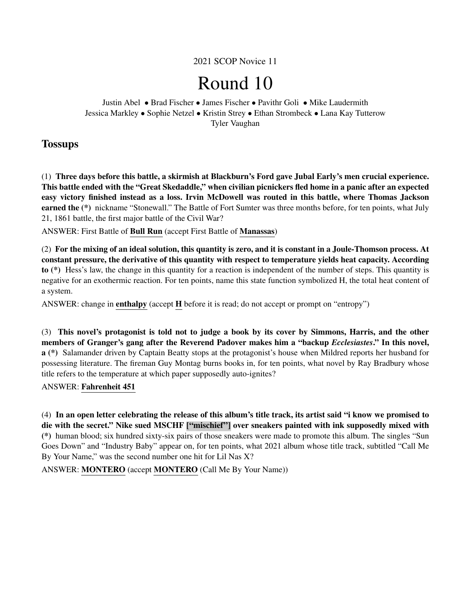2021 SCOP Novice 11

# Round 10

Justin Abel • Brad Fischer • James Fischer • Pavithr Goli • Mike Laudermith Jessica Markley • Sophie Netzel • Kristin Strey • Ethan Strombeck • Lana Kay Tutterow Tyler Vaughan

## **Tossups**

(1) Three days before this battle, a skirmish at Blackburn's Ford gave Jubal Early's men crucial experience. This battle ended with the "Great Skedaddle," when civilian picnickers fled home in a panic after an expected easy victory finished instead as a loss. Irvin McDowell was routed in this battle, where Thomas Jackson earned the (\*) nickname "Stonewall." The Battle of Fort Sumter was three months before, for ten points, what July 21, 1861 battle, the first major battle of the Civil War?

ANSWER: First Battle of Bull Run (accept First Battle of Manassas)

(2) For the mixing of an ideal solution, this quantity is zero, and it is constant in a Joule-Thomson process. At constant pressure, the derivative of this quantity with respect to temperature yields heat capacity. According to (\*) Hess's law, the change in this quantity for a reaction is independent of the number of steps. This quantity is negative for an exothermic reaction. For ten points, name this state function symbolized H, the total heat content of a system.

ANSWER: change in enthalpy (accept H before it is read; do not accept or prompt on "entropy")

(3) This novel's protagonist is told not to judge a book by its cover by Simmons, Harris, and the other members of Granger's gang after the Reverend Padover makes him a "backup *Ecclesiastes*." In this novel, a (\*) Salamander driven by Captain Beatty stops at the protagonist's house when Mildred reports her husband for possessing literature. The fireman Guy Montag burns books in, for ten points, what novel by Ray Bradbury whose title refers to the temperature at which paper supposedly auto-ignites?

## ANSWER: Fahrenheit 451

(4) In an open letter celebrating the release of this album's title track, its artist said "i know we promised to die with the secret." Nike sued MSCHF ["mischief"] over sneakers painted with ink supposedly mixed with (\*) human blood; six hundred sixty-six pairs of those sneakers were made to promote this album. The singles "Sun Goes Down" and "Industry Baby" appear on, for ten points, what 2021 album whose title track, subtitled "Call Me By Your Name," was the second number one hit for Lil Nas X?

ANSWER: MONTERO (accept MONTERO (Call Me By Your Name))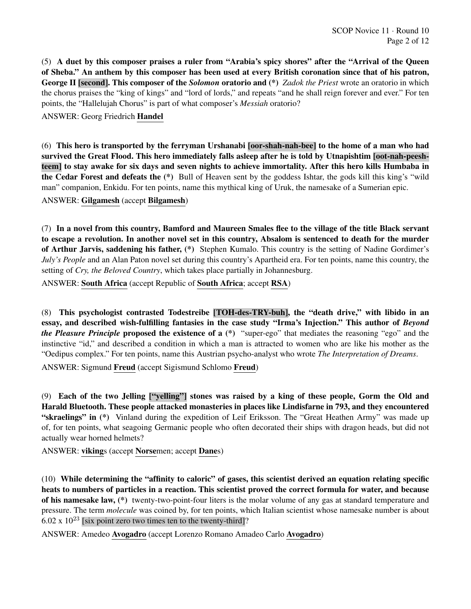SCOP Novice 11 · Round 10 Page 2 of 12

(5) A duet by this composer praises a ruler from "Arabia's spicy shores" after the "Arrival of the Queen of Sheba." An anthem by this composer has been used at every British coronation since that of his patron, George II [second]. This composer of the *Solomon* oratorio and (\*) *Zadok the Priest* wrote an oratorio in which the chorus praises the "king of kings" and "lord of lords," and repeats "and he shall reign forever and ever." For ten points, the "Hallelujah Chorus" is part of what composer's *Messiah* oratorio?

ANSWER: Georg Friedrich Handel

(6) This hero is transported by the ferryman Urshanabi [oor-shah-nah-bee] to the home of a man who had survived the Great Flood. This hero immediately falls asleep after he is told by Utnapishtim [oot-nah-peeshteem] to stay awake for six days and seven nights to achieve immortality. After this hero kills Humbaba in the Cedar Forest and defeats the (\*) Bull of Heaven sent by the goddess Ishtar, the gods kill this king's "wild man" companion, Enkidu. For ten points, name this mythical king of Uruk, the namesake of a Sumerian epic.

ANSWER: Gilgamesh (accept Bilgamesh)

(7) In a novel from this country, Bamford and Maureen Smales flee to the village of the title Black servant to escape a revolution. In another novel set in this country, Absalom is sentenced to death for the murder of Arthur Jarvis, saddening his father, (\*) Stephen Kumalo. This country is the setting of Nadine Gordimer's *July's People* and an Alan Paton novel set during this country's Apartheid era. For ten points, name this country, the setting of *Cry, the Beloved Country*, which takes place partially in Johannesburg.

ANSWER: South Africa (accept Republic of South Africa; accept RSA)

(8) This psychologist contrasted Todestreibe [TOH-des-TRY-buh], the "death drive," with libido in an essay, and described wish-fulfilling fantasies in the case study "Irma's Injection." This author of *Beyond the Pleasure Principle* proposed the existence of a (\*) "super-ego" that mediates the reasoning "ego" and the instinctive "id," and described a condition in which a man is attracted to women who are like his mother as the "Oedipus complex." For ten points, name this Austrian psycho-analyst who wrote *The Interpretation of Dreams*.

ANSWER: Sigmund Freud (accept Sigismund Schlomo Freud)

(9) Each of the two Jelling ["yelling"] stones was raised by a king of these people, Gorm the Old and Harald Bluetooth. These people attacked monasteries in places like Lindisfarne in 793, and they encountered "skraelings" in (\*) Vinland during the expedition of Leif Eriksson. The "Great Heathen Army" was made up of, for ten points, what seagoing Germanic people who often decorated their ships with dragon heads, but did not actually wear horned helmets?

ANSWER: vikings (accept Norsemen; accept Danes)

(10) While determining the "affinity to caloric" of gases, this scientist derived an equation relating specific heats to numbers of particles in a reaction. This scientist proved the correct formula for water, and because of his namesake law, (\*) twenty-two-point-four liters is the molar volume of any gas at standard temperature and pressure. The term *molecule* was coined by, for ten points, which Italian scientist whose namesake number is about  $6.02 \times 10^{23}$  [six point zero two times ten to the twenty-third]?

ANSWER: Amedeo Avogadro (accept Lorenzo Romano Amadeo Carlo Avogadro)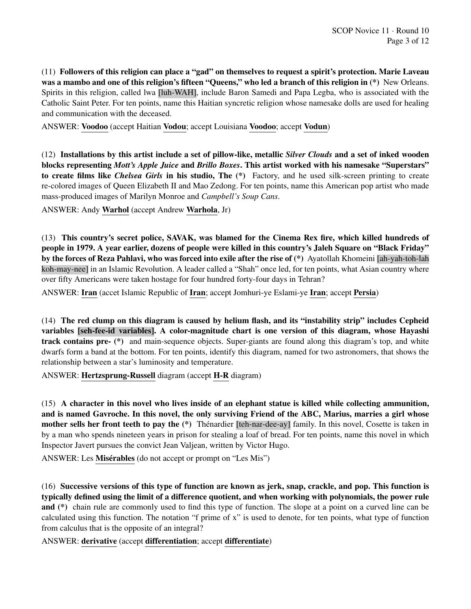(11) Followers of this religion can place a "gad" on themselves to request a spirit's protection. Marie Laveau was a mambo and one of this religion's fifteen "Queens," who led a branch of this religion in (\*) New Orleans. Spirits in this religion, called lwa [luh-WAH], include Baron Samedi and Papa Legba, who is associated with the Catholic Saint Peter. For ten points, name this Haitian syncretic religion whose namesake dolls are used for healing and communication with the deceased.

ANSWER: Voodoo (accept Haitian Vodou; accept Louisiana Voodoo; accept Vodun)

(12) Installations by this artist include a set of pillow-like, metallic *Silver Clouds* and a set of inked wooden blocks representing *Mott's Apple Juice* and *Brillo Boxes*. This artist worked with his namesake "Superstars" to create films like *Chelsea Girls* in his studio, The (\*) Factory, and he used silk-screen printing to create re-colored images of Queen Elizabeth II and Mao Zedong. For ten points, name this American pop artist who made mass-produced images of Marilyn Monroe and *Campbell's Soup Cans*.

ANSWER: Andy Warhol (accept Andrew Warhola, Jr)

(13) This country's secret police, SAVAK, was blamed for the Cinema Rex fire, which killed hundreds of people in 1979. A year earlier, dozens of people were killed in this country's Jaleh Square on "Black Friday" by the forces of Reza Pahlavi, who was forced into exile after the rise of (\*) Ayatollah Khomeini [ah-yah-toh-lah koh-may-nee] in an Islamic Revolution. A leader called a "Shah" once led, for ten points, what Asian country where over fifty Americans were taken hostage for four hundred forty-four days in Tehran?

ANSWER: Iran (accet Islamic Republic of Iran; accept Jomhuri-ye Eslami-ye Iran; accept Persia)

(14) The red clump on this diagram is caused by helium flash, and its "instability strip" includes Cepheid variables [seh-fee-id variables]. A color-magnitude chart is one version of this diagram, whose Hayashi track contains pre- (\*) and main-sequence objects. Super-giants are found along this diagram's top, and white dwarfs form a band at the bottom. For ten points, identify this diagram, named for two astronomers, that shows the relationship between a star's luminosity and temperature.

ANSWER: Hertzsprung-Russell diagram (accept H-R diagram)

(15) A character in this novel who lives inside of an elephant statue is killed while collecting ammunition, and is named Gavroche. In this novel, the only surviving Friend of the ABC, Marius, marries a girl whose mother sells her front teeth to pay the (\*) Thénardier [teh-nar-dee-ay] family. In this novel, Cosette is taken in by a man who spends nineteen years in prison for stealing a loaf of bread. For ten points, name this novel in which Inspector Javert pursues the convict Jean Valjean, written by Victor Hugo.

ANSWER: Les Misérables (do not accept or prompt on "Les Mis")

(16) Successive versions of this type of function are known as jerk, snap, crackle, and pop. This function is typically defined using the limit of a difference quotient, and when working with polynomials, the power rule and (\*) chain rule are commonly used to find this type of function. The slope at a point on a curved line can be calculated using this function. The notation "f prime of x" is used to denote, for ten points, what type of function from calculus that is the opposite of an integral?

ANSWER: derivative (accept differentiation; accept differentiate)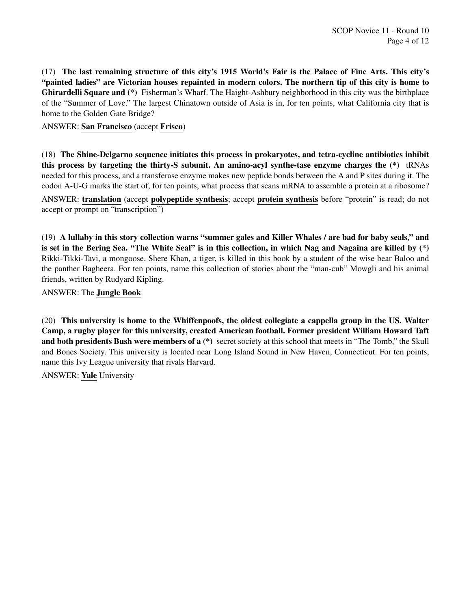(17) The last remaining structure of this city's 1915 World's Fair is the Palace of Fine Arts. This city's "painted ladies" are Victorian houses repainted in modern colors. The northern tip of this city is home to Ghirardelli Square and (\*) Fisherman's Wharf. The Haight-Ashbury neighborhood in this city was the birthplace of the "Summer of Love." The largest Chinatown outside of Asia is in, for ten points, what California city that is home to the Golden Gate Bridge?

## ANSWER: San Francisco (accept Frisco)

(18) The Shine-Delgarno sequence initiates this process in prokaryotes, and tetra-cycline antibiotics inhibit this process by targeting the thirty-S subunit. An amino-acyl synthe-tase enzyme charges the (\*) tRNAs needed for this process, and a transferase enzyme makes new peptide bonds between the A and P sites during it. The codon A-U-G marks the start of, for ten points, what process that scans mRNA to assemble a protein at a ribosome?

ANSWER: translation (accept polypeptide synthesis; accept protein synthesis before "protein" is read; do not accept or prompt on "transcription")

(19) A lullaby in this story collection warns "summer gales and Killer Whales / are bad for baby seals," and is set in the Bering Sea. "The White Seal" is in this collection, in which Nag and Nagaina are killed by (\*) Rikki-Tikki-Tavi, a mongoose. Shere Khan, a tiger, is killed in this book by a student of the wise bear Baloo and the panther Bagheera. For ten points, name this collection of stories about the "man-cub" Mowgli and his animal friends, written by Rudyard Kipling.

ANSWER: The Jungle Book

(20) This university is home to the Whiffenpoofs, the oldest collegiate a cappella group in the US. Walter Camp, a rugby player for this university, created American football. Former president William Howard Taft and both presidents Bush were members of a (\*) secret society at this school that meets in "The Tomb," the Skull and Bones Society. This university is located near Long Island Sound in New Haven, Connecticut. For ten points, name this Ivy League university that rivals Harvard.

ANSWER: Yale University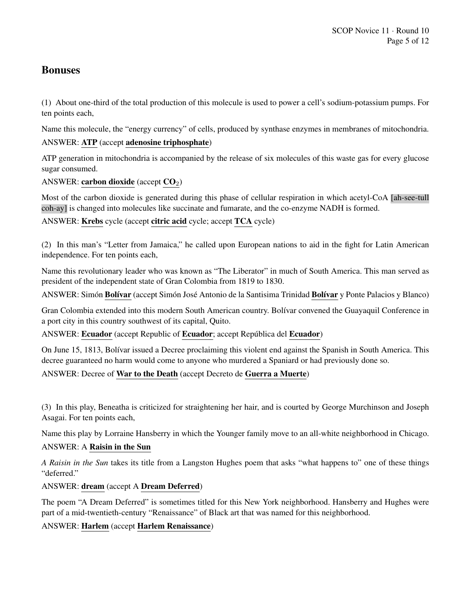## Bonuses

(1) About one-third of the total production of this molecule is used to power a cell's sodium-potassium pumps. For ten points each,

Name this molecule, the "energy currency" of cells, produced by synthase enzymes in membranes of mitochondria. ANSWER: ATP (accept adenosine triphosphate)

ATP generation in mitochondria is accompanied by the release of six molecules of this waste gas for every glucose sugar consumed.

ANSWER: carbon dioxide (accept  $CO<sub>2</sub>$ )

Most of the carbon dioxide is generated during this phase of cellular respiration in which acetyl-CoA [ah-see-tull coh-ay] is changed into molecules like succinate and fumarate, and the co-enzyme NADH is formed.

ANSWER: Krebs cycle (accept citric acid cycle; accept TCA cycle)

(2) In this man's "Letter from Jamaica," he called upon European nations to aid in the fight for Latin American independence. For ten points each,

Name this revolutionary leader who was known as "The Liberator" in much of South America. This man served as president of the independent state of Gran Colombia from 1819 to 1830.

ANSWER: Simón Bolívar (accept Simón José Antonio de la Santisima Trinidad Bolívar y Ponte Palacios y Blanco)

Gran Colombia extended into this modern South American country. Bolívar convened the Guayaquil Conference in a port city in this country southwest of its capital, Quito.

ANSWER: Ecuador (accept Republic of Ecuador; accept República del Ecuador)

On June 15, 1813, Bolívar issued a Decree proclaiming this violent end against the Spanish in South America. This decree guaranteed no harm would come to anyone who murdered a Spaniard or had previously done so.

ANSWER: Decree of War to the Death (accept Decreto de Guerra a Muerte)

(3) In this play, Beneatha is criticized for straightening her hair, and is courted by George Murchinson and Joseph Asagai. For ten points each,

Name this play by Lorraine Hansberry in which the Younger family move to an all-white neighborhood in Chicago.

## ANSWER: A Raisin in the Sun

*A Raisin in the Sun* takes its title from a Langston Hughes poem that asks "what happens to" one of these things "deferred."

ANSWER: dream (accept A Dream Deferred)

The poem "A Dream Deferred" is sometimes titled for this New York neighborhood. Hansberry and Hughes were part of a mid-twentieth-century "Renaissance" of Black art that was named for this neighborhood.

ANSWER: Harlem (accept Harlem Renaissance)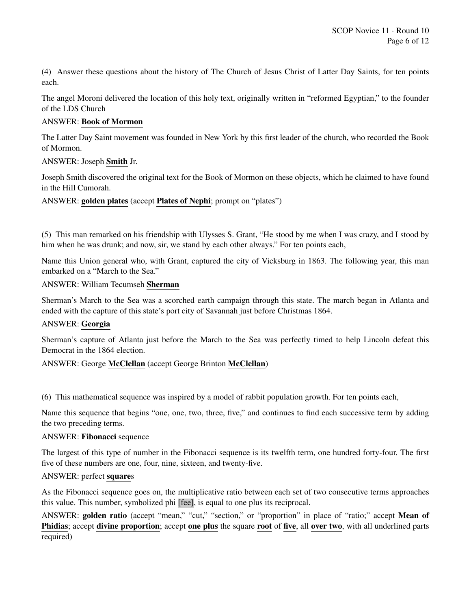(4) Answer these questions about the history of The Church of Jesus Christ of Latter Day Saints, for ten points each.

The angel Moroni delivered the location of this holy text, originally written in "reformed Egyptian," to the founder of the LDS Church

## ANSWER: Book of Mormon

The Latter Day Saint movement was founded in New York by this first leader of the church, who recorded the Book of Mormon.

## ANSWER: Joseph Smith Jr.

Joseph Smith discovered the original text for the Book of Mormon on these objects, which he claimed to have found in the Hill Cumorah.

ANSWER: golden plates (accept Plates of Nephi; prompt on "plates")

(5) This man remarked on his friendship with Ulysses S. Grant, "He stood by me when I was crazy, and I stood by him when he was drunk; and now, sir, we stand by each other always." For ten points each,

Name this Union general who, with Grant, captured the city of Vicksburg in 1863. The following year, this man embarked on a "March to the Sea."

## ANSWER: William Tecumseh Sherman

Sherman's March to the Sea was a scorched earth campaign through this state. The march began in Atlanta and ended with the capture of this state's port city of Savannah just before Christmas 1864.

## ANSWER: Georgia

Sherman's capture of Atlanta just before the March to the Sea was perfectly timed to help Lincoln defeat this Democrat in the 1864 election.

## ANSWER: George McClellan (accept George Brinton McClellan)

(6) This mathematical sequence was inspired by a model of rabbit population growth. For ten points each,

Name this sequence that begins "one, one, two, three, five," and continues to find each successive term by adding the two preceding terms.

## ANSWER: Fibonacci sequence

The largest of this type of number in the Fibonacci sequence is its twelfth term, one hundred forty-four. The first five of these numbers are one, four, nine, sixteen, and twenty-five.

## ANSWER: perfect squares

As the Fibonacci sequence goes on, the multiplicative ratio between each set of two consecutive terms approaches this value. This number, symbolized phi [fee], is equal to one plus its reciprocal.

ANSWER: golden ratio (accept "mean," "cut," "section," or "proportion" in place of "ratio;" accept Mean of Phidias; accept divine proportion; accept one plus the square root of five, all over two, with all underlined parts required)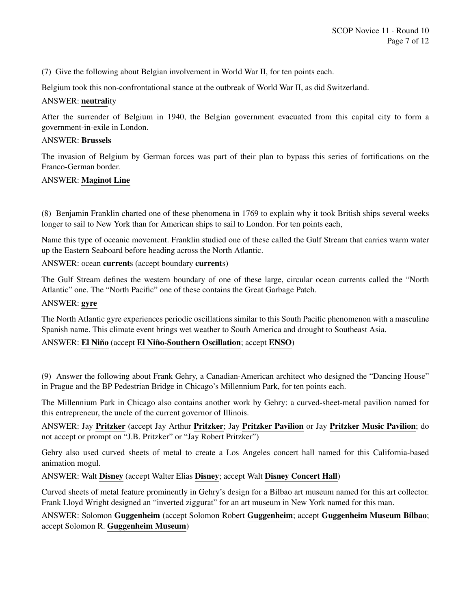(7) Give the following about Belgian involvement in World War II, for ten points each.

Belgium took this non-confrontational stance at the outbreak of World War II, as did Switzerland.

## ANSWER: neutrality

After the surrender of Belgium in 1940, the Belgian government evacuated from this capital city to form a government-in-exile in London.

#### ANSWER: Brussels

The invasion of Belgium by German forces was part of their plan to bypass this series of fortifications on the Franco-German border.

## ANSWER: Maginot Line

(8) Benjamin Franklin charted one of these phenomena in 1769 to explain why it took British ships several weeks longer to sail to New York than for American ships to sail to London. For ten points each,

Name this type of oceanic movement. Franklin studied one of these called the Gulf Stream that carries warm water up the Eastern Seaboard before heading across the North Atlantic.

ANSWER: ocean currents (accept boundary currents)

The Gulf Stream defines the western boundary of one of these large, circular ocean currents called the "North Atlantic" one. The "North Pacific" one of these contains the Great Garbage Patch.

#### ANSWER: gyre

The North Atlantic gyre experiences periodic oscillations similar to this South Pacific phenomenon with a masculine Spanish name. This climate event brings wet weather to South America and drought to Southeast Asia.

## ANSWER: El Niño (accept El Niño-Southern Oscillation; accept ENSO)

(9) Answer the following about Frank Gehry, a Canadian-American architect who designed the "Dancing House" in Prague and the BP Pedestrian Bridge in Chicago's Millennium Park, for ten points each.

The Millennium Park in Chicago also contains another work by Gehry: a curved-sheet-metal pavilion named for this entrepreneur, the uncle of the current governor of Illinois.

ANSWER: Jay Pritzker (accept Jay Arthur Pritzker; Jay Pritzker Pavilion or Jay Pritzker Music Pavilion; do not accept or prompt on "J.B. Pritzker" or "Jay Robert Pritzker")

Gehry also used curved sheets of metal to create a Los Angeles concert hall named for this California-based animation mogul.

ANSWER: Walt Disney (accept Walter Elias Disney; accept Walt Disney Concert Hall)

Curved sheets of metal feature prominently in Gehry's design for a Bilbao art museum named for this art collector. Frank Lloyd Wright designed an "inverted ziggurat" for an art museum in New York named for this man.

ANSWER: Solomon Guggenheim (accept Solomon Robert Guggenheim; accept Guggenheim Museum Bilbao; accept Solomon R. Guggenheim Museum)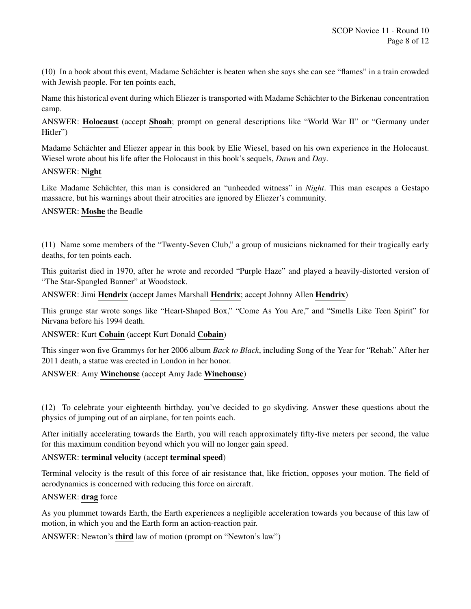(10) In a book about this event, Madame Schächter is beaten when she says she can see "flames" in a train crowded with Jewish people. For ten points each,

Name this historical event during which Eliezer is transported with Madame Schachter to the Birkenau concentration ¨ camp.

ANSWER: Holocaust (accept Shoah; prompt on general descriptions like "World War II" or "Germany under Hitler")

Madame Schächter and Eliezer appear in this book by Elie Wiesel, based on his own experience in the Holocaust. Wiesel wrote about his life after the Holocaust in this book's sequels, *Dawn* and *Day*.

## ANSWER: Night

Like Madame Schächter, this man is considered an "unheeded witness" in *Night*. This man escapes a Gestapo massacre, but his warnings about their atrocities are ignored by Eliezer's community.

## ANSWER: Moshe the Beadle

(11) Name some members of the "Twenty-Seven Club," a group of musicians nicknamed for their tragically early deaths, for ten points each.

This guitarist died in 1970, after he wrote and recorded "Purple Haze" and played a heavily-distorted version of "The Star-Spangled Banner" at Woodstock.

ANSWER: Jimi Hendrix (accept James Marshall Hendrix; accept Johnny Allen Hendrix)

This grunge star wrote songs like "Heart-Shaped Box," "Come As You Are," and "Smells Like Teen Spirit" for Nirvana before his 1994 death.

ANSWER: Kurt Cobain (accept Kurt Donald Cobain)

This singer won five Grammys for her 2006 album *Back to Black*, including Song of the Year for "Rehab." After her 2011 death, a statue was erected in London in her honor.

## ANSWER: Amy Winehouse (accept Amy Jade Winehouse)

(12) To celebrate your eighteenth birthday, you've decided to go skydiving. Answer these questions about the physics of jumping out of an airplane, for ten points each.

After initially accelerating towards the Earth, you will reach approximately fifty-five meters per second, the value for this maximum condition beyond which you will no longer gain speed.

## ANSWER: terminal velocity (accept terminal speed)

Terminal velocity is the result of this force of air resistance that, like friction, opposes your motion. The field of aerodynamics is concerned with reducing this force on aircraft.

## ANSWER: drag force

As you plummet towards Earth, the Earth experiences a negligible acceleration towards you because of this law of motion, in which you and the Earth form an action-reaction pair.

ANSWER: Newton's third law of motion (prompt on "Newton's law")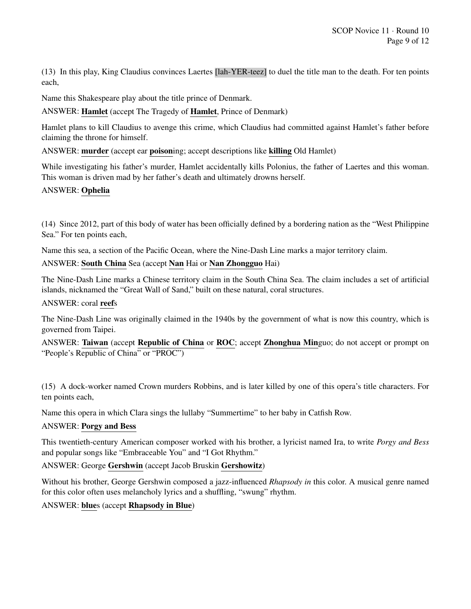(13) In this play, King Claudius convinces Laertes [lah-YER-teez] to duel the title man to the death. For ten points each,

Name this Shakespeare play about the title prince of Denmark.

ANSWER: Hamlet (accept The Tragedy of Hamlet, Prince of Denmark)

Hamlet plans to kill Claudius to avenge this crime, which Claudius had committed against Hamlet's father before claiming the throne for himself.

ANSWER: murder (accept ear poisoning; accept descriptions like killing Old Hamlet)

While investigating his father's murder, Hamlet accidentally kills Polonius, the father of Laertes and this woman. This woman is driven mad by her father's death and ultimately drowns herself.

## ANSWER: Ophelia

(14) Since 2012, part of this body of water has been officially defined by a bordering nation as the "West Philippine Sea." For ten points each,

Name this sea, a section of the Pacific Ocean, where the Nine-Dash Line marks a major territory claim.

## ANSWER: South China Sea (accept Nan Hai or Nan Zhongguo Hai)

The Nine-Dash Line marks a Chinese territory claim in the South China Sea. The claim includes a set of artificial islands, nicknamed the "Great Wall of Sand," built on these natural, coral structures.

ANSWER: coral reefs

The Nine-Dash Line was originally claimed in the 1940s by the government of what is now this country, which is governed from Taipei.

ANSWER: Taiwan (accept Republic of China or ROC; accept Zhonghua Minguo; do not accept or prompt on "People's Republic of China" or "PROC")

(15) A dock-worker named Crown murders Robbins, and is later killed by one of this opera's title characters. For ten points each,

Name this opera in which Clara sings the lullaby "Summertime" to her baby in Catfish Row.

## ANSWER: Porgy and Bess

This twentieth-century American composer worked with his brother, a lyricist named Ira, to write *Porgy and Bess* and popular songs like "Embraceable You" and "I Got Rhythm."

## ANSWER: George Gershwin (accept Jacob Bruskin Gershowitz)

Without his brother, George Gershwin composed a jazz-influenced *Rhapsody in* this color. A musical genre named for this color often uses melancholy lyrics and a shuffling, "swung" rhythm.

ANSWER: blues (accept Rhapsody in Blue)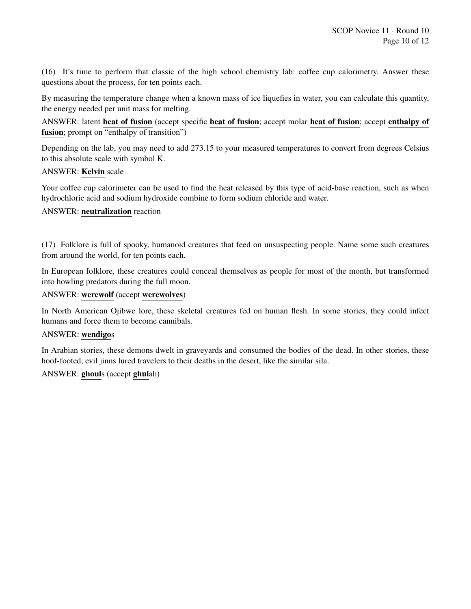(16) It's time to perform that classic of the high school chemistry lab: coffee cup calorimetry. Answer these questions about the process, for ten points each.

By measuring the temperature change when a known mass of ice liquefies in water, you can calculate this quantity, the energy needed per unit mass for melting.

ANSWER: latent heat of fusion (accept specific heat of fusion; accept molar heat of fusion; accept enthalpy of fusion; prompt on "enthalpy of transition")

Depending on the lab, you may need to add 273.15 to your measured temperatures to convert from degrees Celsius to this absolute scale with symbol K.

#### ANSWER: Kelvin scale

Your coffee cup calorimeter can be used to find the heat released by this type of acid-base reaction, such as when hydrochloric acid and sodium hydroxide combine to form sodium chloride and water.

## ANSWER: neutralization reaction

(17) Folklore is full of spooky, humanoid creatures that feed on unsuspecting people. Name some such creatures from around the world, for ten points each.

In European folklore, these creatures could conceal themselves as people for most of the month, but transformed into howling predators during the full moon.

#### ANSWER: werewolf (accept werewolves)

In North American Ojibwe lore, these skeletal creatures fed on human flesh. In some stories, they could infect humans and force them to become cannibals.

#### ANSWER: wendigos

In Arabian stories, these demons dwelt in graveyards and consumed the bodies of the dead. In other stories, these hoof-footed, evil jinns lured travelers to their deaths in the desert, like the similar sila.

## ANSWER: ghouls (accept ghulah)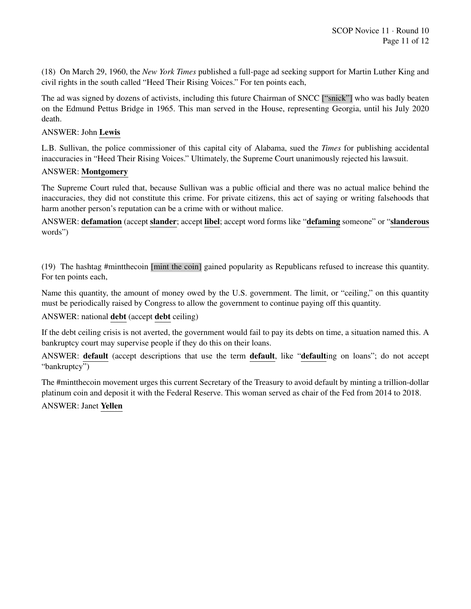(18) On March 29, 1960, the *New York Times* published a full-page ad seeking support for Martin Luther King and civil rights in the south called "Heed Their Rising Voices." For ten points each,

The ad was signed by dozens of activists, including this future Chairman of SNCC ["snick"] who was badly beaten on the Edmund Pettus Bridge in 1965. This man served in the House, representing Georgia, until his July 2020 death.

## ANSWER: John Lewis

L.B. Sullivan, the police commissioner of this capital city of Alabama, sued the *Times* for publishing accidental inaccuracies in "Heed Their Rising Voices." Ultimately, the Supreme Court unanimously rejected his lawsuit.

## ANSWER: Montgomery

The Supreme Court ruled that, because Sullivan was a public official and there was no actual malice behind the inaccuracies, they did not constitute this crime. For private citizens, this act of saying or writing falsehoods that harm another person's reputation can be a crime with or without malice.

ANSWER: defamation (accept slander; accept libel; accept word forms like "defaming someone" or "slanderous words")

(19) The hashtag #mintthecoin [mint the coin] gained popularity as Republicans refused to increase this quantity. For ten points each,

Name this quantity, the amount of money owed by the U.S. government. The limit, or "ceiling," on this quantity must be periodically raised by Congress to allow the government to continue paying off this quantity.

## ANSWER: national debt (accept debt ceiling)

If the debt ceiling crisis is not averted, the government would fail to pay its debts on time, a situation named this. A bankruptcy court may supervise people if they do this on their loans.

ANSWER: default (accept descriptions that use the term default, like "defaulting on loans"; do not accept "bankruptcy")

The #mintthecoin movement urges this current Secretary of the Treasury to avoid default by minting a trillion-dollar platinum coin and deposit it with the Federal Reserve. This woman served as chair of the Fed from 2014 to 2018.

ANSWER: Janet Yellen